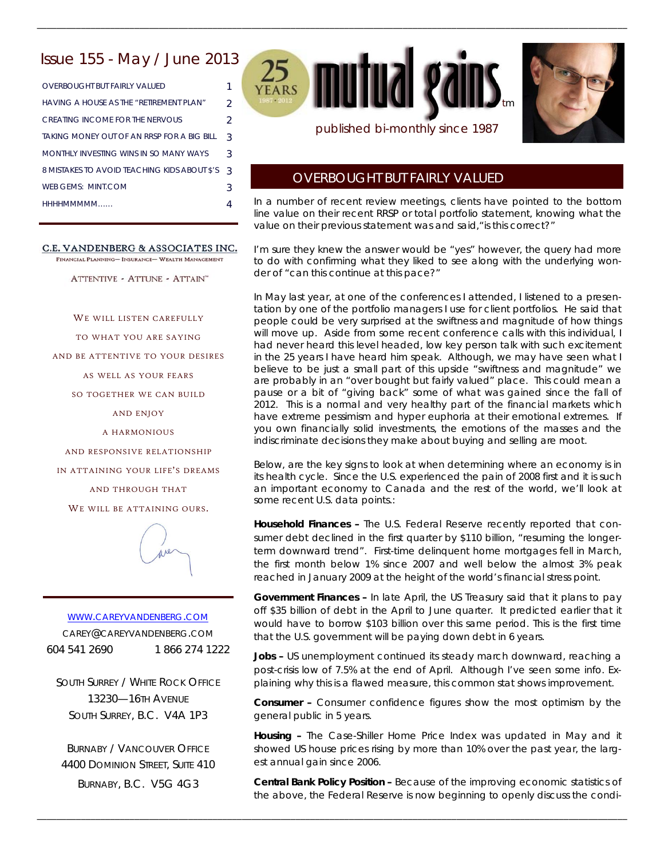# Issue 155 - May / June 2013

| <b>OVERBOUGHT BUT FAIRLY VALUED</b>          |                |
|----------------------------------------------|----------------|
| HAVING A HOUSE AS THE "RETIREMENT PLAN"      | $\mathfrak{D}$ |
| CREATING INCOME FOR THE NERVOLIS             | 2              |
| TAKING MONEY OUT OF AN RRSP FOR A BIG BILL   | 3              |
| MONTHI Y INVESTING WINS IN SO MANY WAYS      | 3              |
| 8 MISTAKES TO AVOID TEACHING KIDS ABOUT \$'S | 3              |
| WEB GEMS: MINT COM                           | З              |
| HHHHMMMMM                                    |                |
|                                              |                |

#### C.E. VANDENBERG & ASSOCIATES INC.

FINANCIAL PLANNING- INSURANCE- WEALTH MANAGEMENT

ATTENTIVE - ATTUNE - ATTAIN"

WE WILL LISTEN CAREFULLY TO WHAT YOU ARE SAYING AND BE ATTENTIVE TO YOUR DESIRES AS WELL AS YOUR FEARS SO TOGETHER WE CAN BUILD AND ENJOY A HARMONIOUS AND RESPONSIVE RELATIONSHIP IN ATTAINING YOUR LIFE'S DREAMS

AND THROUGH THAT WE WILL BE ATTAINING OURS.



WWW.CAREYVANDENBERG.COM CAREY@CAREYVANDENBERG.COM 604 541 2690 1 866 274 1222

SOUTH SURREY / WHITE ROCK OFFICE 13230—16TH AVENUE SOUTH SURREY, B.C. V4A 1P3

BURNABY / VANCOUVER OFFICE 4400 DOMINION STREET, SUITE 410 BURNABY, B.C. V5G 4G3

25 **mutual gai** tm

\_\_\_\_\_\_\_\_\_\_\_\_\_\_\_\_\_\_\_\_\_\_\_\_\_\_\_\_\_\_\_\_\_\_\_\_\_\_\_\_\_\_\_\_\_\_\_\_\_\_\_\_\_\_\_\_\_\_\_\_\_\_\_\_\_\_\_\_\_\_\_\_\_\_\_\_\_\_\_\_\_\_\_\_\_\_\_\_\_\_\_\_\_\_\_\_\_\_\_\_\_\_\_\_\_\_\_\_\_\_\_\_\_\_\_\_\_\_\_\_\_



# published bi-monthly since 1987

# OVERBOUGHT BUT FAIRLY VALUED

*In a number of recent review meetings, clients have pointed to the bottom*  line value on their recent RRSP or total portfolio statement, knowing what the *value on their previous statement was and said,"is this correct?"* 

*I'm sure they knew the answer would be "yes" however, the query had more to do with confirming what they liked to see along with the underlying wonder of "can this continue at this pace?"* 

*In May last year, at one of the conferences I attended, I listened to a presen*tation by one of the portfolio managers I use for client portfolios. He said that *people could be very surprised at the swiftness and magnitude of how things*  will move up. Aside from some recent conference calls with this individual, I *had never heard this level headed, low key person talk with such excitement in the 25 years I have heard him speak. Although, we may have seen what I believe to be just a small part of this upside "swiftness and magnitude" we are probably in an "over bought but fairly valued" place. This could mean a*  pause or a bit of "giving back" some of what was gained since the fall of *2012. This is a normal and very healthy part of the financial markets which have extreme pessimism and hyper euphoria at their emotional extremes. If you own financially solid investments, the emotions of the masses and the indiscriminate decisions they make about buying and selling are moot.* 

Below, are the key signs to look at when determining where an economy is in *its health cycle. Since the U.S. experienced the pain of 2008 first and it is such an important economy to Canada and the rest of the world, we'll look at some* recent U.S. data points.:

*Household Finances –* The U.S. Federal Reserve recently reported that *consumer debt declined in the first quarter by \$110 billion, "resuming the longerterm downward trend*". First-time delinquent home mortgages fell in March, the first month below 1% since 2007 and well below the almost 3% peak reached in January 2009 at the height of the world's financial stress point.

*Government Finances –* In late April, the US Treasury said that it plans to pay off \$35 billion of debt in the April to June quarter. It predicted earlier that it would have to *borrow* \$103 billion over this same period. This is the first time that the U.S. government will be paying down debt in 6 years.

Jobs - US unemployment continued its steady march downward, reaching a post-crisis low of 7.5% at the end of April. Although I've seen some info. Explaining why this is a flawed measure, this common stat shows improvement.

*Consumer –* Consumer confidence figures show the most optimism by the general public in 5 years.

*Housing –* The Case-Shiller Home Price Index was updated in May and it showed US house prices rising by more than 10% over the past year, the largest annual gain since 2006.

*Central Bank Policy Position –* Because of the improving economic statistics of the above, the Federal Reserve is now beginning to openly discuss the condi-

\_\_\_\_\_\_\_\_\_\_\_\_\_\_\_\_\_\_\_\_\_\_\_\_\_\_\_\_\_\_\_\_\_\_\_\_\_\_\_\_\_\_\_\_\_\_\_\_\_\_\_\_\_\_\_\_\_\_\_\_\_\_\_\_\_\_\_\_\_\_\_\_\_\_\_\_\_\_\_\_\_\_\_\_\_\_\_\_\_\_\_\_\_\_\_\_\_\_\_\_\_\_\_\_\_\_\_\_\_\_\_\_\_\_\_\_\_\_\_\_\_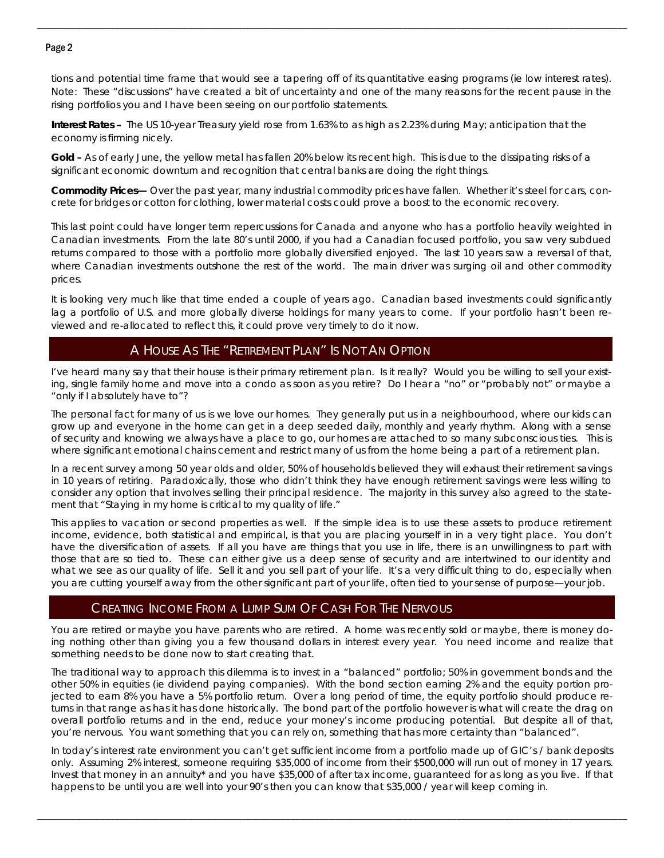### Page 2

tions and potential time frame that would see a tapering off of its quantitative easing programs (ie low interest rates). Note: These "discussions" have created a bit of uncertainty and one of the many reasons for the recent pause in the rising portfolios you and I have been seeing on our portfolio statements.

\_\_\_\_\_\_\_\_\_\_\_\_\_\_\_\_\_\_\_\_\_\_\_\_\_\_\_\_\_\_\_\_\_\_\_\_\_\_\_\_\_\_\_\_\_\_\_\_\_\_\_\_\_\_\_\_\_\_\_\_\_\_\_\_\_\_\_\_\_\_\_\_\_\_\_\_\_\_\_\_\_\_\_\_\_\_\_\_\_\_\_\_\_\_\_\_\_\_\_\_\_\_\_\_\_\_\_\_\_\_\_\_\_\_\_\_\_\_\_\_\_

*Interest Rates – T*he US 10-year Treasury yield rose from 1.63% to as high as 2.23% during May; anticipation that the economy is firming nicely.

*Gold –* As of early June, the yellow metal has fallen 20% below its recent high. This is due to the dissipating risks of a significant economic downturn and recognition that central banks are doing the right things.

*Commodity Prices— Over the past year, many industrial commodity prices have fallen. Whether it's steel for cars, concrete for bridges or cotton for clothing, lower material costs could prove a boost to the economic recovery.* 

*This last point could have longer term repercussions for Canada and anyone who has a portfolio heavily weighted in Canadian investments. From the late 80's until 2000, if you had a Canadian focused portfolio, you saw very subdued returns compared to those with a portfolio more globally diversified enjoyed. The last 10 years saw a reversal of that, where Canadian investments outshone the rest of the world. The main driver was surging oil and other commodity prices.* 

*It is looking very much like that time ended a couple of years ago. Canadian based investments could significantly*  lag a portfolio of U.S. and more globally diverse holdings for many years to come. If your portfolio hasn't been re*viewed and re-allocated to reflect this, it could prove very timely to do it now.*

# A HOUSE AS THE "RETIREMENT PLAN" IS NOT AN OPTION

I've heard many say that their house is their primary retirement plan. Is it really? Would you be willing to sell your existing, single family home and move into a condo as soon as you retire? Do I hear a "no" or "probably not" or maybe a "only if I absolutely have to"?

The personal fact for many of us is we love our homes. They generally put us in a neighbourhood, where our kids can grow up and everyone in the home can get in a deep seeded daily, monthly and yearly rhythm. Along with a sense of security and knowing we always have a place to go, our homes are attached to so many subconscious ties. This is where significant emotional chains cement and restrict many of us from the home being a part of a retirement plan.

In a recent survey among 50 year olds and older, 50% of households believed they will exhaust their retirement savings in 10 years of retiring. Paradoxically, those who didn't think they have enough retirement savings were less willing to consider any option that involves selling their principal residence. The majority in this survey also agreed to the statement that "Staying in my home is critical to my quality of life."

This applies to vacation or second properties as well. If the simple idea is to use these assets to produce retirement income, evidence, both statistical and empirical, is that you are placing yourself in in a very tight place. You don't have the diversification of assets. If all you have are things that you use in life, there is an unwillingness to part with those that are so tied to. These can either give us a deep sense of security and are intertwined to our identity and what we see as our quality of life. Sell it and you sell part of your life. It's a very difficult thing to do, especially when you are cutting yourself away from the other significant part of your life, often tied to your sense of purpose—your job.

# CREATING INCOME FROM A LUMP SUM OF CASH FOR THE NERVOUS

You are retired or maybe you have parents who are retired. A home was recently sold or maybe, there is money doing nothing other than giving you a few thousand dollars in interest every year. You need income and realize that something needs to be done now to start creating that.

The traditional way to approach this dilemma is to invest in a "balanced" portfolio; 50% in government bonds and the other 50% in equities (ie dividend paying companies). With the bond section earning 2% and the equity portion projected to earn 8% you have a 5% portfolio return. Over a long period of time, the equity portfolio should produce returns in that range as has it has done historically. The bond part of the portfolio however is what will create the drag on overall portfolio returns and in the end, reduce your money's income producing potential. But despite all of that, you're nervous. You want something that you can rely on, something that has more certainty than "balanced".

In today's interest rate environment you can't get sufficient income from a portfolio made up of GIC's / bank deposits only. Assuming 2% interest, someone requiring \$35,000 of income from their \$500,000 will run out of money in 17 years. Invest that money in an annuity\* and you have \$35,000 of after tax income, guaranteed for as long as you live. If that happens to be until you are well into your 90's then you can know that \$35,000 / year will keep coming in.

\_\_\_\_\_\_\_\_\_\_\_\_\_\_\_\_\_\_\_\_\_\_\_\_\_\_\_\_\_\_\_\_\_\_\_\_\_\_\_\_\_\_\_\_\_\_\_\_\_\_\_\_\_\_\_\_\_\_\_\_\_\_\_\_\_\_\_\_\_\_\_\_\_\_\_\_\_\_\_\_\_\_\_\_\_\_\_\_\_\_\_\_\_\_\_\_\_\_\_\_\_\_\_\_\_\_\_\_\_\_\_\_\_\_\_\_\_\_\_\_\_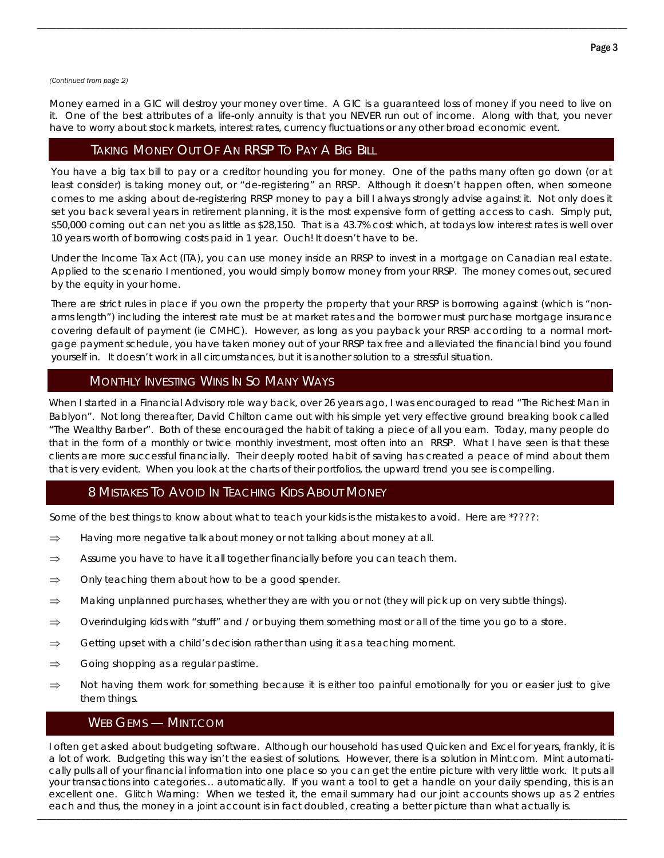#### *(Continued from page 2)*

Money earned in a GIC will destroy your money over time. A GIC is a guaranteed loss of money if you need to live on it. One of the best attributes of a life-only annuity is that you NEVER run out of income. Along with that, you never have to worry about stock markets, interest rates, currency fluctuations or any other broad economic event.

\_\_\_\_\_\_\_\_\_\_\_\_\_\_\_\_\_\_\_\_\_\_\_\_\_\_\_\_\_\_\_\_\_\_\_\_\_\_\_\_\_\_\_\_\_\_\_\_\_\_\_\_\_\_\_\_\_\_\_\_\_\_\_\_\_\_\_\_\_\_\_\_\_\_\_\_\_\_\_\_\_\_\_\_\_\_\_\_\_\_\_\_\_\_\_\_\_\_\_\_\_\_\_\_\_\_\_\_\_\_\_\_\_\_\_\_\_\_\_\_\_

# TAKING MONEY OUT OF AN RRSP TO PAY A BIG BILL

You have a big tax bill to pay or a creditor hounding you for money. One of the paths many often go down (or at least consider) is taking money out, or "de-registering" an RRSP. Although it doesn't happen often, when someone comes to me asking about de-registering RRSP money to pay a bill I always strongly advise against it. Not only does it set you back several years in retirement planning, it is the most expensive form of getting access to cash. Simply put, \$50,000 coming out can net you as little as \$28,150. That is a 43.7% cost which, at todays low interest rates is well over 10 years worth of borrowing costs paid in 1 year. Ouch! It doesn't have to be.

Under the Income Tax Act (ITA), you can use money inside an RRSP to invest in a mortgage on Canadian real estate. Applied to the scenario I mentioned, you would simply borrow money from your RRSP. The money comes out, secured by the equity in your home.

There are strict rules in place if you own the property the property that your RRSP is borrowing against (which is "nonarms length") including the interest rate must be at market rates and the borrower must purchase mortgage insurance covering default of payment (ie CMHC). However, as long as you payback your RRSP according to a normal mortgage payment schedule, you have taken money out of your RRSP tax free and alleviated the financial bind you found yourself in. It doesn't work in all circumstances, but it is another solution to a stressful situation.

# MONTHLY INVESTING WINS IN SO MANY WAYS

When I started in a Financial Advisory role way back, over 26 years ago, I was encouraged to read "The Richest Man in Bablyon". Not long thereafter, David Chilton came out with his simple yet very effective ground breaking book called "The Wealthy Barber". Both of these encouraged the habit of taking a piece of all you earn. Today, many people do that in the form of a monthly or twice monthly investment, most often into an RRSP. What I have seen is that these clients are more successful financially. Their deeply rooted habit of saving has created a peace of mind about them that is very evident. When you look at the charts of their portfolios, the upward trend you see is compelling.

# 8 MISTAKES TO AVOID IN TEACHING KIDS ABOUT MONEY

Some of the best things to know about what to teach your kids is the mistakes to avoid. Here are \*????:

- $\Rightarrow$  Having more negative talk about money or not talking about money at all.
- $\Rightarrow$  Assume you have to have it all together financially before you can teach them.
- $\Rightarrow$  Only teaching them about how to be a good spender.
- $\Rightarrow$  Making unplanned purchases, whether they are with you or not (they will pick up on very subtle things).
- $\Rightarrow$  Overindulging kids with "stuff" and / or buying them something most or all of the time you go to a store.
- $\Rightarrow$  Getting upset with a child's decision rather than using it as a teaching moment.
- $\Rightarrow$  Going shopping as a regular pastime.
- $\Rightarrow$  Not having them work for something because it is either too painful emotionally for you or easier just to give them things.

### WEB GEMS — MINT.COM

\_\_\_\_\_\_\_\_\_\_\_\_\_\_\_\_\_\_\_\_\_\_\_\_\_\_\_\_\_\_\_\_\_\_\_\_\_\_\_\_\_\_\_\_\_\_\_\_\_\_\_\_\_\_\_\_\_\_\_\_\_\_\_\_\_\_\_\_\_\_\_\_\_\_\_\_\_\_\_\_\_\_\_\_\_\_\_\_\_\_\_\_\_\_\_\_\_\_\_\_\_\_\_\_\_\_\_\_\_\_\_\_\_\_\_\_\_\_\_\_\_ I often get asked about budgeting software. Although our household has used Quicken and Excel for years, frankly, it is a lot of work. Budgeting this way isn't the easiest of solutions. However, there is a solution in Mint.com. Mint automatically pulls all of your financial information into one place so you can get the entire picture with very little work. It puts all your transactions into categories… automatically. If you want a tool to get a handle on your daily spending, this is an excellent one. Glitch Warning: When we tested it, the email summary had our joint accounts shows up as 2 entries each and thus, the money in a joint account is in fact doubled, creating a better picture than what actually is.